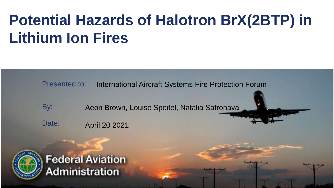#### **Potential Hazards of Halotron BrX(2BTP) in Lithium Ion Fires**

Presented to: International Aircraft Systems Fire Protection Forum

By: Aeon Brown, Louise Speitel, Natalia Safronava

Date: April 20 2021



**Federal Aviation Administration**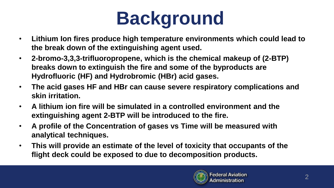# **Background**

- **Lithium Ion fires produce high temperature environments which could lead to the break down of the extinguishing agent used.**
- **2-bromo-3,3,3-trifluoropropene, which is the chemical makeup of (2-BTP) breaks down to extinguish the fire and some of the byproducts are Hydrofluoric (HF) and Hydrobromic (HBr) acid gases.**
- **The acid gases HF and HBr can cause severe respiratory complications and skin irritation.**
- **A lithium ion fire will be simulated in a controlled environment and the extinguishing agent 2-BTP will be introduced to the fire.**
- **A profile of the Concentration of gases vs Time will be measured with analytical techniques.**
- **This will provide an estimate of the level of toxicity that occupants of the flight deck could be exposed to due to decomposition products.**

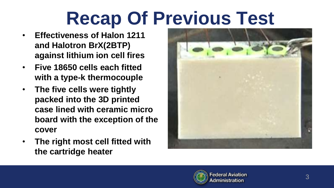## **Recap Of Previous Test**

- **Effectiveness of Halon 1211 and Halotron BrX(2BTP) against lithium ion cell fires**
- **Five 18650 cells each fitted with a type-k thermocouple**
- **The five cells were tightly packed into the 3D printed case lined with ceramic micro board with the exception of the cover**
- **The right most cell fitted with the cartridge heater**



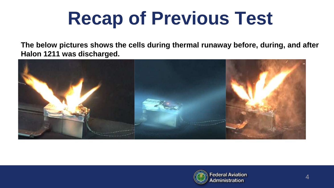#### **Recap of Previous Test**

**The below pictures shows the cells during thermal runaway before, during, and after Halon 1211 was discharged.**



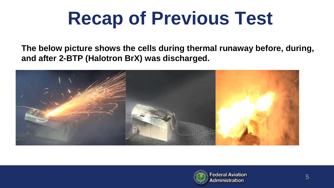## **Recap of Previous Test**

**The below picture shows the cells during thermal runaway before, during, and after 2-BTP (Halotron BrX) was discharged.**



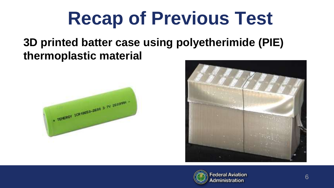#### **Recap of Previous Test**

#### **3D printed batter case using polyetherimide (PIE) thermoplastic material**